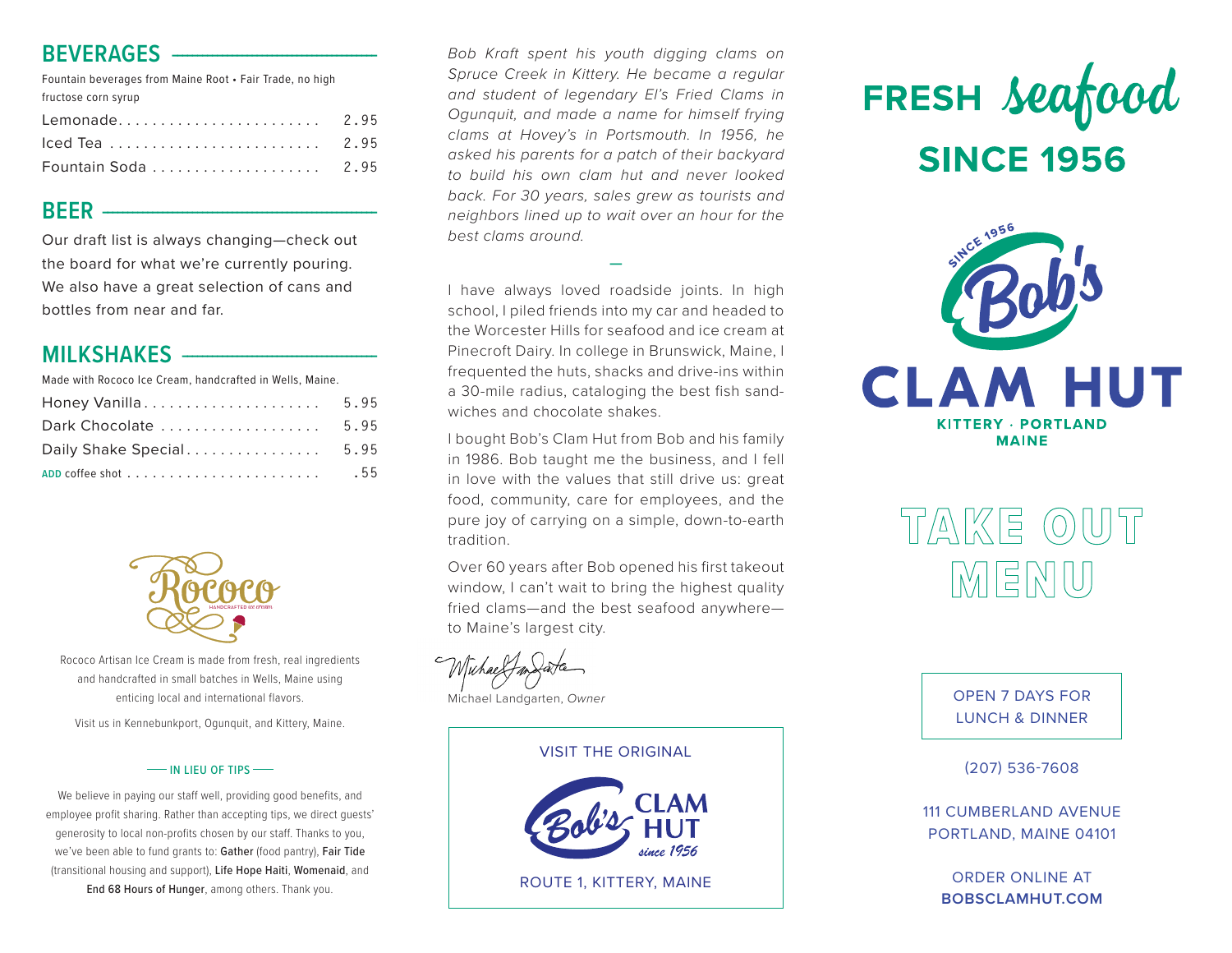#### **BEVERAGES --**

Fountain beverages from Maine Root • Fair Trade, no high fructose corn syrup Lemonade . . . . . . . . . . . . . . . . . . . . . . . **2.95** Iced Tea . . . . . . . . . . . . . . . . . . . . . . . . **2.95** Fountain Soda . . . . . . . . . . . . . . . . . . . **2.95**

#### **BEER** -------------------------------------------------------

Our draft list is always changing—check out the board for what we're currently pouring. We also have a great selection of cans and bottles from near and far.

#### **MILKSHAKES** -

Made with Rococo Ice Cream, handcrafted in Wells, Maine.

|                          | 5.95 |
|--------------------------|------|
| Dark Chocolate           | 5.95 |
| Daily Shake Special 5.95 |      |
|                          | .55  |



Rococo Artisan Ice Cream is made from fresh, real ingredients and handcrafted in small batches in Wells, Maine using enticing local and international flavors.

Visit us in Kennebunkport, Ogunquit, and Kittery, Maine.

#### **IN LIEU OF TIPS**

We believe in paying our staff well, providing good benefits, and employee profit sharing. Rather than accepting tips, we direct guests' generosity to local non-profits chosen by our staff. Thanks to you, we've been able to fund grants to: Gather (food pantry), Fair Tide (transitional housing and support), Life Hope Haiti, Womenaid, and End 68 Hours of Hunger, among others. Thank you.

*Bob Kraft spent his youth digging clams on Spruce Creek in Kittery. He became a regular and student of legendary El's Fried Clams in Ogunquit, and made a name for himself frying clams at Hovey's in Portsmouth. In 1956, he asked his parents for a patch of their backyard to build his own clam hut and never looked back. For 30 years, sales grew as tourists and neighbors lined up to wait over an hour for the best clams around.*

I have always loved roadside joints. In high school, I piled friends into my car and headed to the Worcester Hills for seafood and ice cream at Pinecroft Dairy. In college in Brunswick, Maine, I frequented the huts, shacks and drive-ins within a 30-mile radius, cataloging the best fish sandwiches and chocolate shakes.

**—**

I bought Bob's Clam Hut from Bob and his family in 1986. Bob taught me the business, and I fell in love with the values that still drive us: great food, community, care for employees, and the pure joy of carrying on a simple, down-to-earth tradition.

Over 60 years after Bob opened his first takeout window, I can't wait to bring the highest quality fried clams—and the best seafood anywhere to Maine's largest city.

Michael Landgarten, *Owner*

# VISIT THE ORIGINAL

ROUTE 1, KITTERY, MAINE





# TAKE OUT IMIEINIU)

OPEN 7 DAYS FOR LUNCH & DINNER

(207) 536-7608

111 CUMBERLAND AVENUE PORTLAND, MAINE 04101

ORDER ONLINE AT **BOBSCLAMHUT.COM**